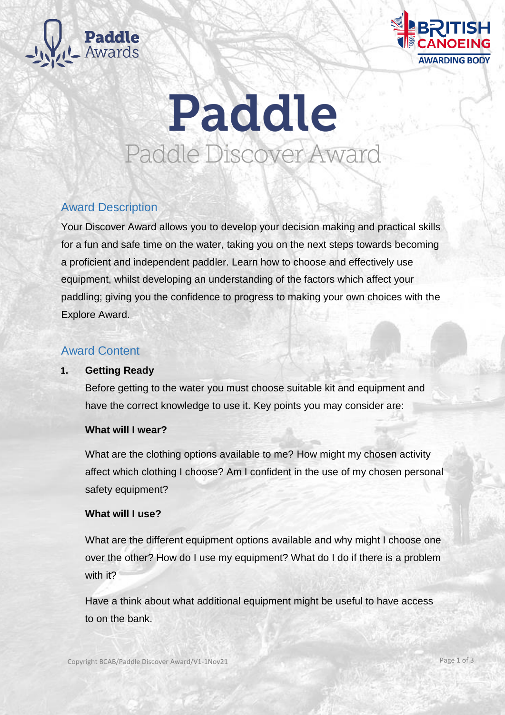



# Paddle Paddle Discover Award

# Award Description

Your Discover Award allows you to develop your decision making and practical skills for a fun and safe time on the water, taking you on the next steps towards becoming a proficient and independent paddler. Learn how to choose and effectively use equipment, whilst developing an understanding of the factors which affect your paddling; giving you the confidence to progress to making your own choices with the Explore Award.

# Award Content

# **1. Getting Ready**

Before getting to the water you must choose suitable kit and equipment and have the correct knowledge to use it. Key points you may consider are:

# **What will I wear?**

What are the clothing options available to me? How might my chosen activity affect which clothing I choose? Am I confident in the use of my chosen personal safety equipment?

# **What will I use?**

What are the different equipment options available and why might I choose one over the other? How do I use my equipment? What do I do if there is a problem with it?

Have a think about what additional equipment might be useful to have access to on the bank.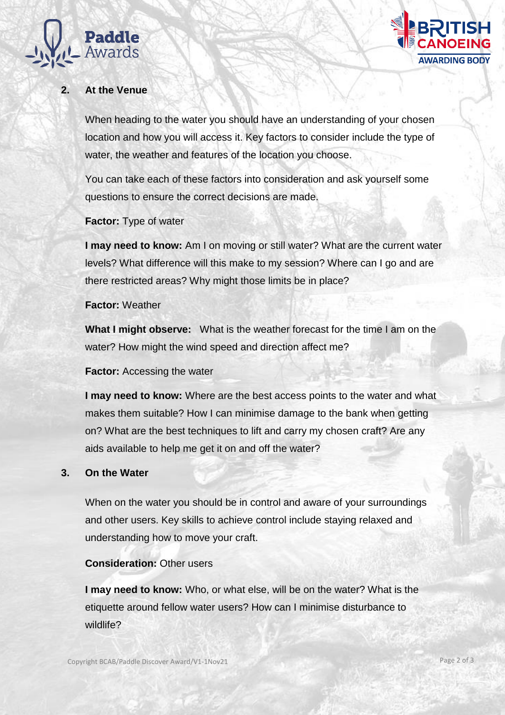



# **2. At the Venue**

When heading to the water you should have an understanding of your chosen location and how you will access it. Key factors to consider include the type of water, the weather and features of the location you choose.

You can take each of these factors into consideration and ask yourself some questions to ensure the correct decisions are made.

**Factor:** Type of water

**I may need to know:** Am I on moving or still water? What are the current water levels? What difference will this make to my session? Where can I go and are there restricted areas? Why might those limits be in place?

#### **Factor:** Weather

**What I might observe:** What is the weather forecast for the time I am on the water? How might the wind speed and direction affect me?

# **Factor:** Accessing the water

**I may need to know:** Where are the best access points to the water and what makes them suitable? How I can minimise damage to the bank when getting on? What are the best techniques to lift and carry my chosen craft? Are any aids available to help me get it on and off the water?

# **3. On the Water**

When on the water you should be in control and aware of your surroundings and other users. Key skills to achieve control include staying relaxed and understanding how to move your craft.

# **Consideration:** Other users

**I may need to know:** Who, or what else, will be on the water? What is the etiquette around fellow water users? How can I minimise disturbance to wildlife?